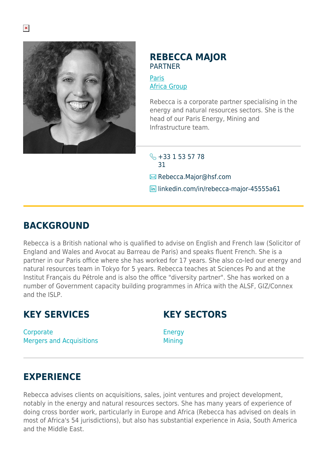

## **REBECCA MAJOR** PARTNER

**[Paris](https://www.herbertsmithfreehills.com/lang-es/where-we-work/paris)** [Africa Group](https://www.herbertsmithfreehills.com/lang-es/where-we-work/africa-group)

Rebecca is a corporate partner specialising in the energy and natural resources sectors. She is the head of our Paris Energy, Mining and Infrastructure team.

 $\leftarrow +33$  1 53 57 78 31 **E**Rebecca.Major@hsf.com **in** linkedin.com/in/rebecca-major-45555a61

## **BACKGROUND**

Rebecca is a British national who is qualified to advise on English and French law (Solicitor of England and Wales and Avocat au Barreau de Paris) and speaks fluent French. She is a partner in our Paris office where she has worked for 17 years. She also co-led our energy and natural resources team in Tokyo for 5 years. Rebecca teaches at Sciences Po and at the Institut Français du Pétrole and is also the office "diversity partner". She has worked on a number of Government capacity building programmes in Africa with the ALSF, GIZ/Connex and the ISLP.

## **KEY SERVICES**

**KEY SECTORS**

**Corporate** Mergers and Acquisitions

Energy Mining

## **EXPERIENCE**

Rebecca advises clients on acquisitions, sales, joint ventures and project development, notably in the energy and natural resources sectors. She has many years of experience of doing cross border work, particularly in Europe and Africa (Rebecca has advised on deals in most of Africa's 54 jurisdictions), but also has substantial experience in Asia, South America and the Middle East.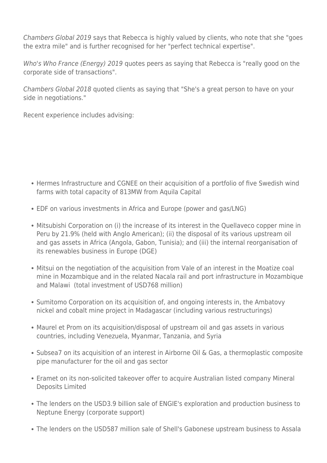Chambers Global 2019 says that Rebecca is highly valued by clients, who note that she "goes the extra mile" and is further recognised for her "perfect technical expertise".

Who's Who France (Energy) 2019 quotes peers as saying that Rebecca is "really good on the corporate side of transactions".

Chambers Global 2018 quoted clients as saying that "She's a great person to have on your side in negotiations."

Recent experience includes advising:

- Hermes Infrastructure and CGNEE on their acquisition of a portfolio of five Swedish wind farms with total capacity of 813MW from Aquila Capital
- EDF on various investments in Africa and Europe (power and gas/LNG)
- Mitsubishi Corporation on (i) the increase of its interest in the Quellaveco copper mine in Peru by 21.9% (held with Anglo American); (ii) the disposal of its various upstream oil and gas assets in Africa (Angola, Gabon, Tunisia); and (iii) the internal reorganisation of its renewables business in Europe (DGE)
- Mitsui on the negotiation of the acquisition from Vale of an interest in the Moatize coal mine in Mozambique and in the related Nacala rail and port infrastructure in Mozambique and Malawi (total investment of USD768 million)
- Sumitomo Corporation on its acquisition of, and ongoing interests in, the Ambatovy nickel and cobalt mine project in Madagascar (including various restructurings)
- Maurel et Prom on its acquisition/disposal of upstream oil and gas assets in various countries, including Venezuela, Myanmar, Tanzania, and Syria
- Subsea7 on its acquisition of an interest in Airborne Oil & Gas, a thermoplastic composite pipe manufacturer for the oil and gas sector
- Eramet on its non-solicited takeover offer to acquire Australian listed company Mineral Deposits Limited
- The lenders on the USD3.9 billion sale of ENGIE's exploration and production business to Neptune Energy (corporate support)
- The lenders on the USD587 million sale of Shell's Gabonese upstream business to Assala